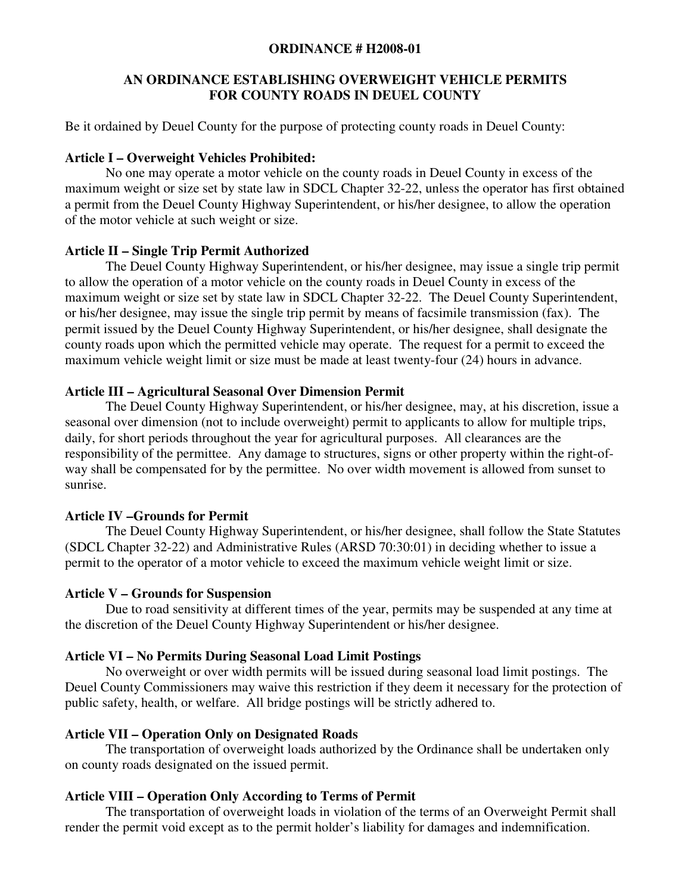#### **ORDINANCE # H2008-01**

### **AN ORDINANCE ESTABLISHING OVERWEIGHT VEHICLE PERMITS FOR COUNTY ROADS IN DEUEL COUNTY**

Be it ordained by Deuel County for the purpose of protecting county roads in Deuel County:

#### **Article I – Overweight Vehicles Prohibited:**

No one may operate a motor vehicle on the county roads in Deuel County in excess of the maximum weight or size set by state law in SDCL Chapter 32-22, unless the operator has first obtained a permit from the Deuel County Highway Superintendent, or his/her designee, to allow the operation of the motor vehicle at such weight or size.

### **Article II – Single Trip Permit Authorized**

 The Deuel County Highway Superintendent, or his/her designee, may issue a single trip permit to allow the operation of a motor vehicle on the county roads in Deuel County in excess of the maximum weight or size set by state law in SDCL Chapter 32-22. The Deuel County Superintendent, or his/her designee, may issue the single trip permit by means of facsimile transmission (fax). The permit issued by the Deuel County Highway Superintendent, or his/her designee, shall designate the county roads upon which the permitted vehicle may operate. The request for a permit to exceed the maximum vehicle weight limit or size must be made at least twenty-four (24) hours in advance.

### **Article III – Agricultural Seasonal Over Dimension Permit**

The Deuel County Highway Superintendent, or his/her designee, may, at his discretion, issue a seasonal over dimension (not to include overweight) permit to applicants to allow for multiple trips, daily, for short periods throughout the year for agricultural purposes. All clearances are the responsibility of the permittee. Any damage to structures, signs or other property within the right-ofway shall be compensated for by the permittee. No over width movement is allowed from sunset to sunrise.

# **Article IV –Grounds for Permit**

 The Deuel County Highway Superintendent, or his/her designee, shall follow the State Statutes (SDCL Chapter 32-22) and Administrative Rules (ARSD 70:30:01) in deciding whether to issue a permit to the operator of a motor vehicle to exceed the maximum vehicle weight limit or size.

# **Article V – Grounds for Suspension**

Due to road sensitivity at different times of the year, permits may be suspended at any time at the discretion of the Deuel County Highway Superintendent or his/her designee.

# **Article VI – No Permits During Seasonal Load Limit Postings**

 No overweight or over width permits will be issued during seasonal load limit postings. The Deuel County Commissioners may waive this restriction if they deem it necessary for the protection of public safety, health, or welfare. All bridge postings will be strictly adhered to.

# **Article VII – Operation Only on Designated Roads**

The transportation of overweight loads authorized by the Ordinance shall be undertaken only on county roads designated on the issued permit.

# **Article VIII – Operation Only According to Terms of Permit**

 The transportation of overweight loads in violation of the terms of an Overweight Permit shall render the permit void except as to the permit holder's liability for damages and indemnification.